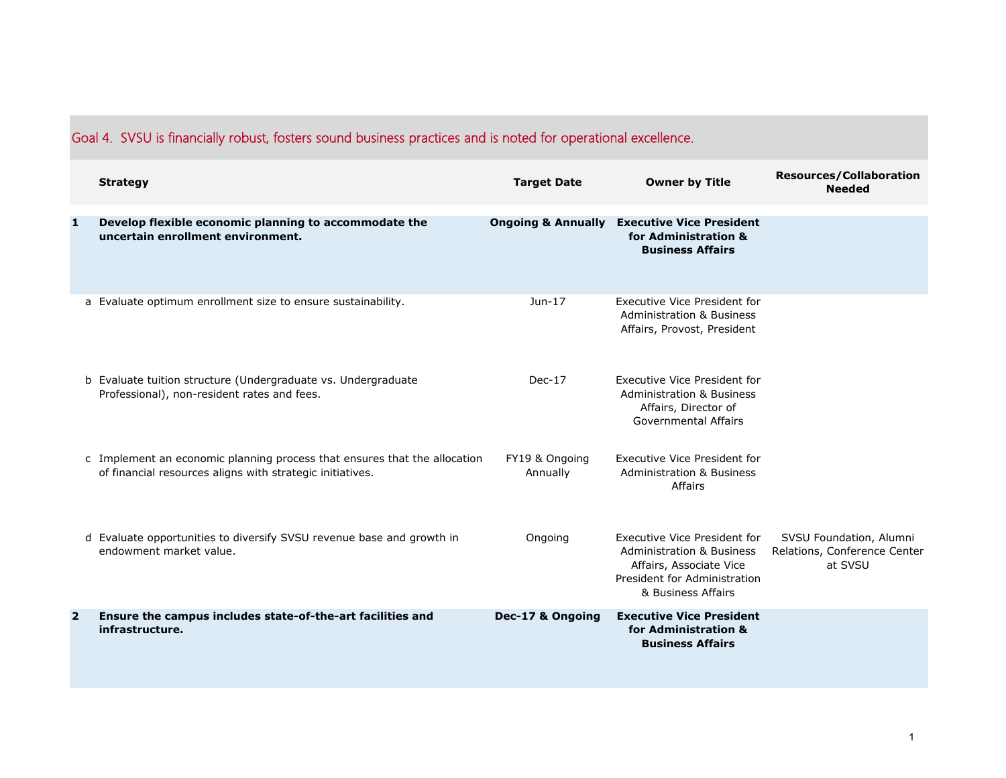|                | <b>Strategy</b>                                                                                                                        | <b>Target Date</b>            | <b>Owner by Title</b>                                                                                                                                 | <b>Resources/Collaboration</b><br><b>Needed</b>                    |
|----------------|----------------------------------------------------------------------------------------------------------------------------------------|-------------------------------|-------------------------------------------------------------------------------------------------------------------------------------------------------|--------------------------------------------------------------------|
| 1              | Develop flexible economic planning to accommodate the<br>uncertain enrollment environment.                                             | <b>Ongoing &amp; Annually</b> | <b>Executive Vice President</b><br>for Administration &<br><b>Business Affairs</b>                                                                    |                                                                    |
|                | a Evaluate optimum enrollment size to ensure sustainability.                                                                           | Jun-17                        | Executive Vice President for<br><b>Administration &amp; Business</b><br>Affairs, Provost, President                                                   |                                                                    |
|                | b Evaluate tuition structure (Undergraduate vs. Undergraduate<br>Professional), non-resident rates and fees.                           | $Dec-17$                      | Executive Vice President for<br><b>Administration &amp; Business</b><br>Affairs, Director of<br>Governmental Affairs                                  |                                                                    |
|                | c Implement an economic planning process that ensures that the allocation<br>of financial resources aligns with strategic initiatives. | FY19 & Ongoing<br>Annually    | Executive Vice President for<br><b>Administration &amp; Business</b><br>Affairs                                                                       |                                                                    |
|                | d Evaluate opportunities to diversify SVSU revenue base and growth in<br>endowment market value.                                       | Ongoing                       | Executive Vice President for<br><b>Administration &amp; Business</b><br>Affairs, Associate Vice<br>President for Administration<br>& Business Affairs | SVSU Foundation, Alumni<br>Relations, Conference Center<br>at SVSU |
| $\overline{2}$ | Ensure the campus includes state-of-the-art facilities and<br>infrastructure.                                                          | Dec-17 & Ongoing              | <b>Executive Vice President</b><br>for Administration &<br><b>Business Affairs</b>                                                                    |                                                                    |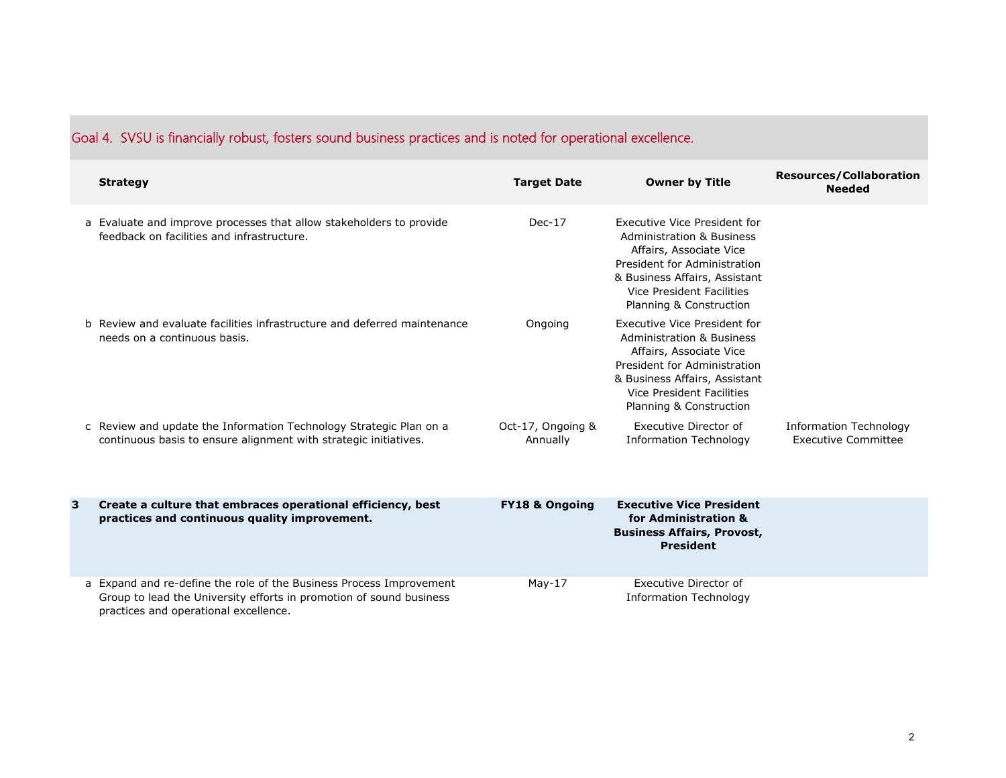|   | <b>Strategy</b>                                                                                                                                                                     | <b>Target Date</b>            | <b>Owner by Title</b>                                                                                                                                                                                                    | <b>Resources/Collaboration</b><br><b>Needed</b>             |
|---|-------------------------------------------------------------------------------------------------------------------------------------------------------------------------------------|-------------------------------|--------------------------------------------------------------------------------------------------------------------------------------------------------------------------------------------------------------------------|-------------------------------------------------------------|
|   | a Evaluate and improve processes that allow stakeholders to provide<br>feedback on facilities and infrastructure.                                                                   | $Dec-17$                      | Executive Vice President for<br><b>Administration &amp; Business</b><br>Affairs, Associate Vice<br>President for Administration<br>& Business Affairs, Assistant<br>Vice President Facilities<br>Planning & Construction |                                                             |
|   | b Review and evaluate facilities infrastructure and deferred maintenance<br>needs on a continuous basis.                                                                            | Ongoing                       | Executive Vice President for<br><b>Administration &amp; Business</b><br>Affairs, Associate Vice<br>President for Administration<br>& Business Affairs, Assistant<br>Vice President Facilities<br>Planning & Construction |                                                             |
|   | c Review and update the Information Technology Strategic Plan on a<br>continuous basis to ensure alignment with strategic initiatives.                                              | Oct-17, Ongoing &<br>Annually | Executive Director of<br><b>Information Technology</b>                                                                                                                                                                   | <b>Information Technology</b><br><b>Executive Committee</b> |
| 3 | Create a culture that embraces operational efficiency, best<br>practices and continuous quality improvement.                                                                        | <b>FY18 &amp; Ongoing</b>     | <b>Executive Vice President</b><br>for Administration &<br><b>Business Affairs, Provost,</b><br><b>President</b>                                                                                                         |                                                             |
|   | a Expand and re-define the role of the Business Process Improvement<br>Group to lead the University efforts in promotion of sound business<br>practices and operational excellence. | $May-17$                      | Executive Director of<br><b>Information Technology</b>                                                                                                                                                                   |                                                             |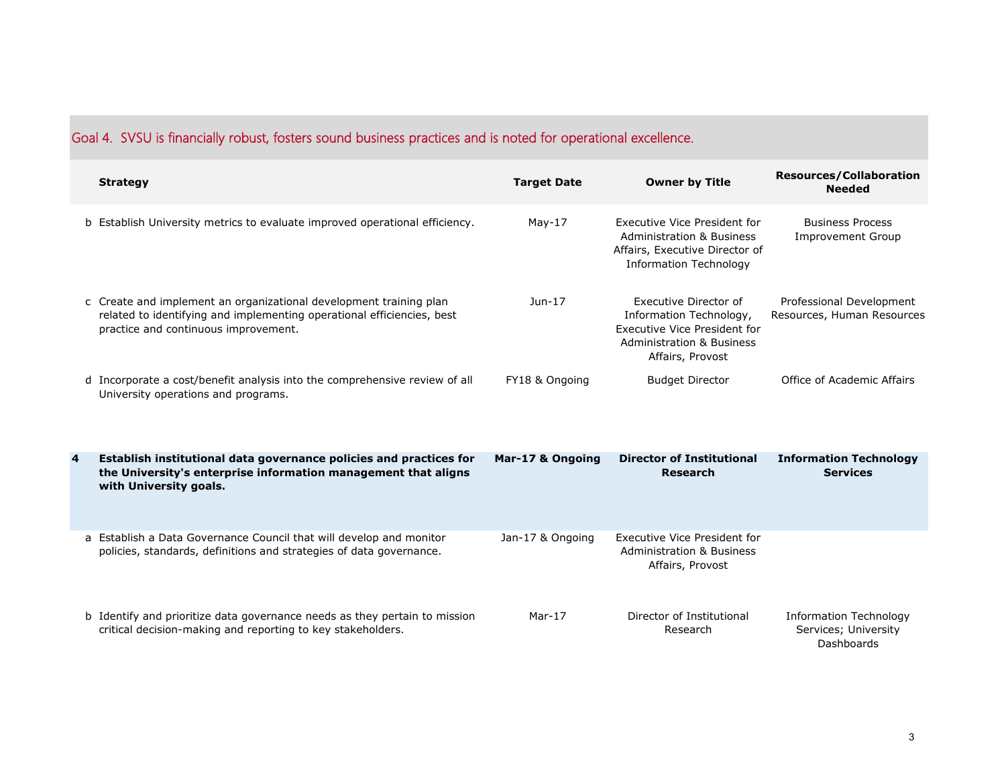|   | <b>Strategy</b>                                                                                                                                                                      | <b>Target Date</b> | <b>Owner by Title</b>                                                                                                                        | <b>Resources/Collaboration</b><br><b>Needed</b>                     |
|---|--------------------------------------------------------------------------------------------------------------------------------------------------------------------------------------|--------------------|----------------------------------------------------------------------------------------------------------------------------------------------|---------------------------------------------------------------------|
|   | b Establish University metrics to evaluate improved operational efficiency.                                                                                                          | May-17             | Executive Vice President for<br><b>Administration &amp; Business</b><br>Affairs, Executive Director of<br><b>Information Technology</b>      | <b>Business Process</b><br><b>Improvement Group</b>                 |
|   | c Create and implement an organizational development training plan<br>related to identifying and implementing operational efficiencies, best<br>practice and continuous improvement. | $Jun-17$           | Executive Director of<br>Information Technology,<br>Executive Vice President for<br><b>Administration &amp; Business</b><br>Affairs, Provost | Professional Development<br>Resources, Human Resources              |
|   | d Incorporate a cost/benefit analysis into the comprehensive review of all<br>University operations and programs.                                                                    | FY18 & Ongoing     | <b>Budget Director</b>                                                                                                                       | Office of Academic Affairs                                          |
| 4 | Establish institutional data governance policies and practices for<br>the University's enterprise information management that aligns<br>with University goals.                       | Mar-17 & Ongoing   | <b>Director of Institutional</b><br><b>Research</b>                                                                                          | <b>Information Technology</b><br><b>Services</b>                    |
|   | a Establish a Data Governance Council that will develop and monitor<br>policies, standards, definitions and strategies of data governance.                                           | Jan-17 & Ongoing   | Executive Vice President for<br><b>Administration &amp; Business</b><br>Affairs, Provost                                                     |                                                                     |
|   | b Identify and prioritize data governance needs as they pertain to mission<br>critical decision-making and reporting to key stakeholders.                                            | $Mar-17$           | Director of Institutional<br>Research                                                                                                        | <b>Information Technology</b><br>Services; University<br>Dashboards |